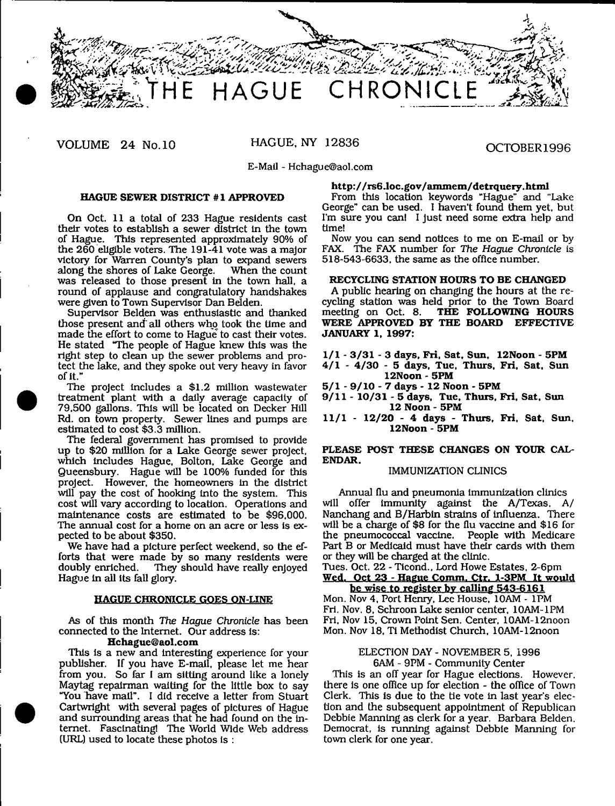

VOLUME 24 No.10 HAGUE, NY 12836 OCTOBER1996

E-Mail - [Hchague@aol.com](mailto:Hchague@aol.com)

# **HAGUE SEWER DISTRICT #1 APPROVED**

On Oct. 11 a total of 233 Hague residents cast their votes to establish a sewer district in the town of Hague. This represented approximately 90% of the 260 eligible voters. The 191-41 vote was a major victory for Warren County's plan to expand sewers along the shores of Lake George. was released to those present in the town hall, a round of applause and congratulatory handshakes were given to Town Supervisor Dan Belden.

Supervisor Belden was enthusiastic and thanked those present and all others who took the time and made the effort to come to Hague to cast their votes. He stated "The people of Hague knew this was the right step to clean up the sewer problems and protect the lake, and they spoke out very heavy in favor of it."

The project includes a \$1.2 million wastewater treatment plant with a daily average capacity of 79,500 gallons. This will be located on Decker Hill Rd. on town property. Sewer lines and pumps are estim ated to cost \$3.3 million.

The federal government has promised to provide up to \$20 million for a Lake George sewer project, which includes Hague, Bolton, Lake George and Queensbury. Hague will be 100% funded for this project. However, the homeowners in the district will pay the cost of hooking into the system. This cost will vary according to location. Operations and maintenance costs are estimated to be \$96,000. The annual cost for a home on an acre or less is expected to be about \$350.

We have had a picture perfect weekend, so the efforts that were made by so many residents were doubly enriched. They should have really enjoyed They should have really enjoyed Hague in all its fall glory.

#### **HAGUE CHRONICLE GOES ON-LINE**

As of this month *The Hague Chronicle* has been connected to the Internet. Our address is:

# **[Hchague@aol.com](mailto:Hchague@aol.com)**

This is a new and interesting experience for your publisher. If you have E-mail, please let me hear from you. So far I am sitting around like a lonely Maytag repairman waiting for the little box to say "You have mail". I did receive a letter from Stuart Cartwright with several pages of pictures of Hague and surrounding areas that he had found on the internet. Fascinating! The World Wide Web address (URL) used to locate these photos is :

# http://rs6.loc.gov/ammem/detrquery.html

From this location keywords "Hague" and "Lake George" can be used. I haven't found them yet, but I'm sure you can! I just need some extra help and time!

Now you can send notices to me on E-mail or by FAX. The FAX num ber for *The Hague* Chronicle is 518-543-6633, the same as the office number.

#### **RECYCLING STATION HOURS TO BE CHANGED**

A public hearing on changing the hours at the recycling station was held prior to the Town Board meeting on Oct. 8. **THE FOLLOWING HOURS WERE APPROVED BY THE BOARD EFFECTIVE JANUARY 1. 1997:**

- **1/1 3 /3 1 3 days, Fri, Sat, Sun, 12Noon 5PM 4 /1 - 4 /3 0 - 5 days, Tue, Thurs, Fri, Sat, Sun 12Noon - 5PM**
- **5 /1 9 /1 0 7 days 12 Noon 5PM**
- **9 /1 1 10/31 5 days. Tue. Thurs. Fri, Sat, Sun 12 Noon - 5PM**
- **11/1 12/20 4 days Thurs, Fri, Sat, Sun. 12Noon - 5PM**

# **PLEASE POST THESE CHANGES ON YOUR CAL-ENDAR.**

# IMMUNIZATION CLINICS

Annual flu and pneumonia immunization clinics will offer immunity against the A/Texas. A/ Nanchang and B/Harbin strains of influenza. There will be a charge of \$8 for the flu vaccine and \$16 for the pneumococcal vaccine. People with Medicare Part B or Medicaid must have their cards with them or they will be charged at the clinic.

Tues. Oct. 22 - Ticond.. Lord Howe Estates, 2-6pm **Wed. Oct 23 - Hague Comm. Ctr. 1-3PM It would**

**be wise to register by calling 543-6161** Mon. Nov 4, Port Henry, Lee House, 10AM - 1PM Fri. Nov. 8, Schroon Lake senior center, 10AM-1PM Fri, Nov 15, Crown Point Sen. Center, 10AM-12noon Mon. Nov 18, Ti Methodist Church, 10AM-12noon

# ELECTION DAY - NOVEMBER 5. 1996 6AM - 9PM - Community Center

This is an off year for Hague elections. However, there is one office up for election - the office of Town Clerk. This is due to the tie vote in last year's election and the subsequent appointment of Republican Debbie Manning as clerk for a year. Barbara Belden. Democrat, is running against Debbie Manning for town clerk for one year.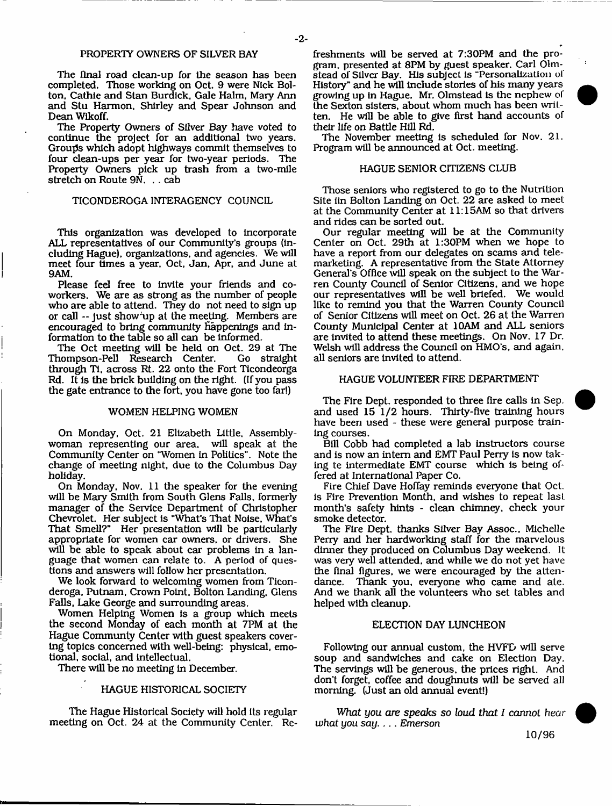# PROPERTY OWNERS OF SILVER BAY

The flnal road clean-up for the season has been completed. Those working on Oct. 9 were Nick Bolton, Cathie and Stan Burdick, Gale Halm, Mary Ann and Stu Harmon, Shirley and Spear Johnson and Dean Wlkoff.

The Property Owners of Silver Bay have voted to continue the project for an additional two years. Groups which adopt highways commit themselves to four clean-ups per year for two-year periods. The Property Owners pick up trash from a two-mile stretch on Route 9N. . . cab

# TICONDEROGA INTERAGENCY COUNCIL

This organization was developed to incorporate ALL representatives of our Community's groups (including Hague), organizations, and agencies. We will meet four times a year, Oct, Jan, Apr, and June at 9AM.

Please feel free to invite your friends and coworkers. We are as strong as the number of people who are able to attend. They do not need to sign up or call — Just show 'up at the meeting. Members are encouraged to bring community happenings and information to the table so all can be informed.

The Oct meeting will be held on Oct. 29 at The<br>hompson-Pell Research Center. Go straight Thompson-Pell Research Center. through Ti. across Rt. 22 onto the Fort Ticondeorga Rd. It is the brick building on the right. (If you pass the gate entrance to the fort, you have gone too far!)

#### WOMEN HELPING WOMEN

On Monday, Oct. 21 Elizabeth Little. Assemblywoman representing our area, will speak at the Community Center on "Women in Politics". Note the change of meeting night, due to the Columbus Day holiday.

On Monday, Nov. 11 the speaker for the evening will be Mary Smith from South Glens Falls, formerly manager of the Service Department of Christopher Chevrolet. Her subject is "What's That Noise, What's That Smell?" Her presentation will be particularly appropriate for women car owners, or drivers. She will be able to speak about car problems in a language that women can relate to. A period of questions and answers will follow her presentation.

We look forward to welcoming women from Ticonderoga, Putnam, Crown Point, Bolton Landing, Glens Falls, Lake George and surrounding areas.

Women Helping Women is a group which meets the second Monday of each month at 7PM at the Hague Communty Center with guest speakers covering topics concerned with well-being: physical, emotional, social, and intellectual.

There will be no meeting in December.

# HAGUE HISTORICAL SOCIETY

The Hague Historical Society will hold its regular meeting on Oct. 24 at the Community Center. Refreshments will be served at 7:30PM and the program, presented at 8PM by guest speaker. Carl Olmstead of Silver Bay. His subject is "Personalization of History" and he will include stories of his many years growing up in Hague. Mr. Olmstead Is the nephew of the Sexton sisters, about whom much has been written. He will be able to give first hand accounts of their life on Battle Hill Rd.

The November meeting is scheduled for Nov. 21. Program will be announced at Oct. meeting.

# HAGUE SENIOR CITIZENS CLUB

Those seniors who registered to go to the Nutrition Site iin Bolton Landing on Oct. 22 are asked to meet at the Community Center at 11:15AM so that drivers and rides can be sorted out.

Our regular meeting will be at the Community Center on Oct. 29th at 1:30PM when we hope to have a report from our delegates on scams and telemarketing. A representative from the State Attorney General's Office will speak on the subject to the Warren County Council of Senior Citizens, and we hope our representatives will be well briefed. We would like to remind you that the Warren County Council of Senior Citizens will meet on Oct. 26 at the Warren County Municipal Center at 10AM and ALL seniors are invited to attend these meetings. On Nov. 17 Dr. Welsh will address the Council on HMO's, and again, all seniors are invited to attend.

# HAGUE VOLUNTEER FIRE DEPARTMENT

The Fire Dept, responded to three fire calls in Sep. and used 15 1/2 hours. Thirty-five training hours have been used - these were general purpose training courses.

Bill Cobb had completed a lab instructors course and is now an intern and EMT Paul Perry is now taking te intermediate EMT course which is being offered at International Paper Co.

Fire Chief Dave Hoffay reminds everyone that Oct. is Fire Prevention Month, and wishes to repeat last month's safety hints - clean chimney, check your smoke detector.

The Fire Dept, thanks Silver Bay Assoc., Michelle Perry and her hardworking staff for the marvelous dinner they produced on Columbus Day weekend. It was very well attended, and while we do not yet have the final figures, we were encouraged by the atten dance. Thank you, everyone who came and ate. And we thank all the volunteers who set tables and helped with cleanup.

#### ELECTION DAY LUNCHEON

Following our annual custom, the HVFD will serve soup and sandwiches and cake on Election Day. The servings will be generous, the prices right. And don't forget, coffee and doughnuts will be served all morning. (Just an old annual event!)

*What you are speaks so loud that I cannot hear what you say*. ... Emerson

10/96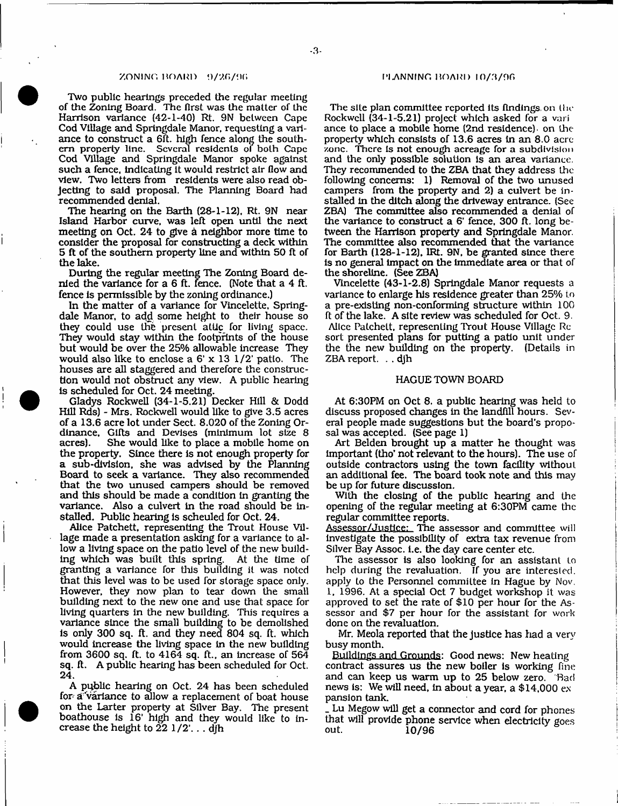#### $ZONING BORD = 9/26/96$   $\qquad \qquad \qquad \text{11} \text{ANNING BORD} = 10/3/96$

Two public hearings preceded the regular meeting of the Zoning Board. The first was the matter of the Harrison variance {42-1-40) Rt. 9N between Cape Cod Village and Springdale Manor, requesting a variance to construct a 6ft. high fence along the southern property line. Several residents of both Cape Cod Village and Springdale Manor spoke against such a fence, indicating it would restrict air flow and view. Two letters from residents were also read objecting to said proposal. The Planning Board had recommended denial.

The hearing on the Barth (28-1-12), Rt. 9N near Island Harbor curve, was left open until the next meeting on Oct. 24 to give a neighbor more time to consider the proposal for constructing a deck within 5 ft of the southern property line and within 50 ft of the lake.

During the regular meeting The Zoning Board denied the variance for a 6 ft. fence. (Note that a 4 ft. fence is permissible by the zoning ordinance.)

In the matter of a variance for Vincelette, Springdale Manor, to add some height to their house so they could use the present attic for living space. They would stay within the footprints of the house but would be over the 25% allowable increase They would also like to enclose a  $6' \times 13$   $1/2'$  patio. The houses are all staggered and therefore the construction would not obstruct any view. A public hearing is scheduled for Oct. 24 meeting.

Gladys Rockwell (34-1-5.21) Decker Hill & Dodd Hill Rds) - Mrs. Rockwell would like to give 3.5 acres of a 13.6 acre lot under Sect. 8.020 of the Zoning Ordinance, Gifts and Devises (minimum lot size 8 acres). She would like to place a mobile home on the property. Since there is not enough property for a sub-division, she was advised by the Planning Board to seek a variance. They also recommended that the two unused campers should be removed and this should be made a condition in granting the variance. Also a culvert in the road should be installed. Public hearing is scheuled for Oct. 24.

Alice Patchett, representing the Trout House Village made a presentation asking for a variance to allow a living space on the patio level of the new building which was built this spring. At the time of granting a variance for this building it was noted that this level was to be used for storage space only. However, they now plan to tear down the small building next to the new one and use that space for living quarters in the new building. This requires a variance since the small building to be demolished is only 300 sq. ft. and they need 804 sq. ft, which would increase the living space in the new building from 3600 sq. ft. to 4164 sq. ft., an increase of 564 sq. ft. A public hearing has been scheduled for Oct. 24.

A public hearing on Oct. 24 has been scheduled for a variance to allow a replacement of boat house on the Larter properly at Silver Bay. The present boathouse is 16' high and they would like to increase the height to  $22 \frac{1}{2}'$ ... dih

The site plan committee reported its findings, on the Rockwell (34-1-5.21) project which asked for a vari ance to place a mobile home (2nd residence) on the property which consists of 13.6 acres in an 8.0 acre zone. There is not enough acreage for a subdivision and the only possible solution is an area variance. They recommended to the ZBA that they address the following concerns: 1) Removal of the two unused campers from the property and 2) a culvert be in stalled in the ditch along the driveway entrance. (See ZBA) The committee also recommended a denial of the variance to construct a 6' fence, 300 ft. long between the Harrison property and Springdale Manor. The committee also recommended that the variance for Barth (128-1-12), IRt. 9N, be granted since there is no general impact on the immediate area or that of the shoreline. (See ZBA)

Vincelette (43-1-2.8) Springdale Manor requests a variance to enlarge his residence greater than 25% to a pre-existing non-conforming structure within 100 ft of the lake. A site review was scheduled for Oct. 9. Alice Patchett, representing Trout House Village Rc sort presented plans for putting a patio unit under the the new building on the property. (Details in ZBA report. . . djh

## HAGUE TOWN BOARD

At 6:30PM on Oct 8. a public hearing was held to discuss proposed changes in the landfill hours. Several people made suggestions but the board's proposal was accepted. (See page 1)

Art Belden brought up a matter he thought was im portant (tho' not relevant to the hours). The use of outside contractors using the town facility without an additional fee. The board took note and this may be up for future discussion.

With the closing of the public hearing and the opening of the regular meeting at 6:30PM came the regular committee reports.

Assessor/Justice: The assessor and committee will investigate the possibility of extra tax revenue from Silver Bay Assoc, i.e. the day care center etc.

The assessor is also looking for an assistant to help during the revaluation. If you are interested, apply to the Personnel committee in Hague by Nov, 1, 1996. At a special Oct 7 budget workshop it was approved to set the rate of \$10 per hour for the Assessor and \$7 per hour for the assistant for work done on the revaluation.

Mr. Meola reported that the justice has had a very busy month.

Buildings and Grounds: Good news: New heating contract assures us the new boiler is working fine and can keep us warm up to 25 below zero. Bad news is: We will need, in about a year, a \$14,000 ex pansion tank.

Lu Megow will get a connector and cord for phones that will provide phone service when electricity goes 10/96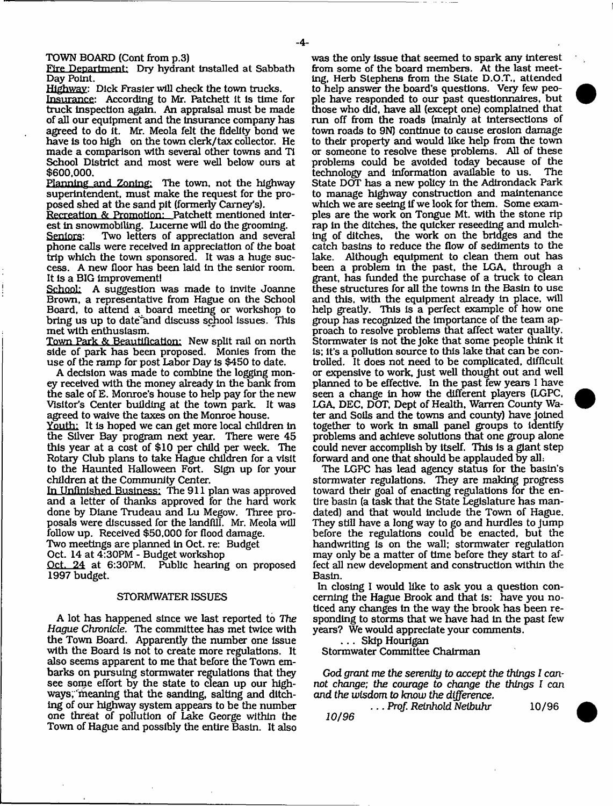TOWN BOARD (Cont from p.3)

Fire Department: Dry hydrant Installed at Sabbath Day Point.

Highway: Dick Frasier will check the town trucks.

Insurance: According to Mr. Patchett it is time for truck inspection again. An appraisal must be made of all our equipment and the Insurance company has agreed to do it. Mr. Meola felt the fidelity bond we have is too high on the town clerk/tax collector. He made a comparison with several other towns and Ti School District and most were well below ours at \$600,000.

Planning and Zoning: The town, not the highway superintendent, must make the request for the proposed shed at the sand pit (formerly Carney's).

Recreation & Promotion: Patchett mentioned interest in snowmobiling. Lucerne will do the grooming.

Seniors: Two letters of appreciation and several phone calls were received in appreciation of the boat trip which the town sponsored. It was a huge success. A new floor has been laid in the senior room. It is a BIG improvement!

School: A suggestion was made to invite Joanne Brown, a representative from Hague on the School Board, to attend a board meeting or workshop to bring us up to date'and discuss school issues. This met with enthusiasm.

Town Park & Beautification: New split rail on north side of park has been proposed. Monies from the use of the ramp for post Labor Day is \$450 to date.

A decision was made to combine the logging money received with the money already in the bank from the sale of E. Monroe's house to help pay for the new Visitor's Center building at the town park. It was agreed to waive the taxes on the Monroe house.

Youth: It is hoped we can get more local children in the Silver Bay program next year. There were 45 this year at a cost of \$10 per child per week. The Rotary Club plans to take Hague children for a visit to the Haunted Halloween Fort. Sign up for your children at the Community Center.

In Unfinished Business: The 911 plan was approved and a letter of thanks approved for the hard work done by Diane Trudeau and Lu Megow. Three proposals were discussed for the landfill. Mr. Meola will follow up. Received \$50,000 for flood damage.

Two meetings are planned in Oct. re: Budget

Oct. 14 at 4:30PM - Budget workshop

Oct. 24 at 6:30PM. Public hearing on proposed 1997 budget.

#### STORMWATER ISSUES

A lot has happened since we last reported to The *Hague Chronicle.* The committee has met twice with the Town Board. Apparently the number one issue with the Board is not to create more regulations. It also seems apparent to me that before the Town embarks on pursuing stormwater regulations that they see some effort by the state to clean up our highways, meaning that the sanding, salting and ditching of our highway system appears to be the number one threat of pollution of Lake George within the Town of Hague and possibly the entire Basin. It also

was the only Issue that seemed to spark any interest from some of the board members. At the last meeting, Herb Stephens from the Slate D.O.T., attended to help answer the board's questions. Very few people have responded to our past questionnaires, but those who did, have all (except one) complained that run off from the roads (mainly at intersections of town roads to 9N) continue to cause erosion damage to their property and would like help from the town or someone to resolve these problems. AH of these problems could be avoided today because of the technology and information available to us. State DOT has a new policy in the Adirondack Park to manage highway construction and maintenance which we are seeing if we look for them. Some examples are the work on Tongue Mt. with the stone rip rap in the ditches, the quicker reseeding and mulching of ditches, the work on the bridges and the catch basins to reduce the flow of sediments to the lake. Although equipment to clean them out has been a problem in the past, the LGA, through a grant, has funded the purchase of a truck to clean these structures for all the towns in the Basin to use and this, with the equipment already in place, will help greatly. This is a perfect example of how one group has recognized the importance of the team approach to resolve problems that affect water quality. Stormwater is not the joke that some people think it is; it's a pollution source to this lake that can be controlled. It does not need to be complicated, difficult or expensive to work, just well thought out and well planned to be effective. In the past few years I have seen a change in how the different players (LGPC, LGA, DEC, DOT, Dept of Health, Warren County Water and Soils and the towns and county) have joined together to work in small panel groups to identify problems and achieve solutions that one group alone could never accomplish by itself. This is a giant step forward and one that should be applauded by all:

The LGPC has lead agency status for the basin's stormwater regulations. They are making progress toward their goal of enacting regulations for the entire basin (a task that the State Legislature has mandated) and that would include the Town of Hague. They still have a long way to go and hurdles to Jump before the regulations could be enacted, but the handwriting is on the wall; stormwater regulation may only be a matter of time before they start to affect all new development and construction within the Basin.

In closing I would like to ask you a question concerning the Hague Brook and that is: have you noticed any changes in the way the brook has been responding to storms that we have had in the past few years? We would appreciate your comments.

. . . Skip Hourlgan

Stormwater Committee Chairman

God *grant* me *the serenity* to *accept the things I cannot change; the courage to change the things I* can *and the wisdom to know the difference.*

. . . *Prof. Reinhold Neibuhr* 10/96 *10/96*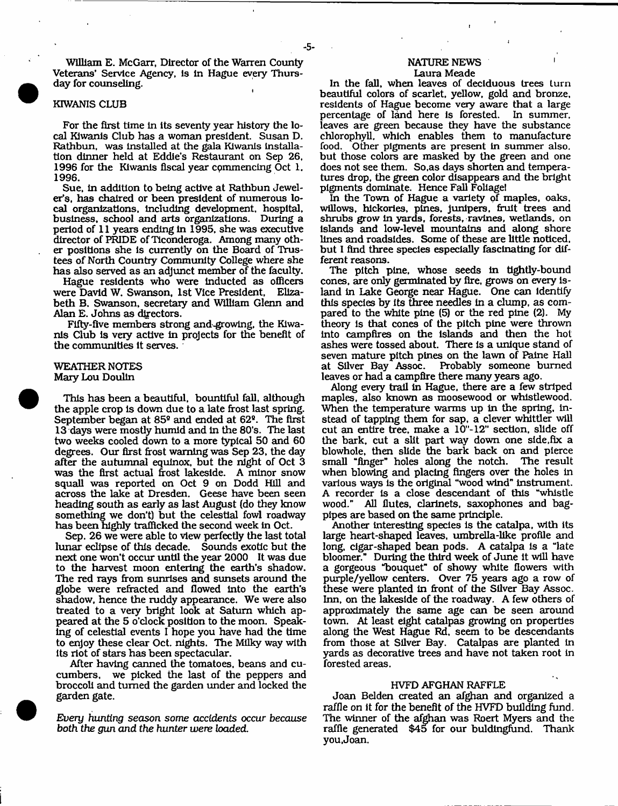WlUiam E. McGarr, Director of the Warren County Veterans' Service Agency, Is In Hague every Thursday for counseling.

# KIWANIS CLUB

For the first time In its seventy year history the local Kiwants Club has a woman president. Susan D. Rathbun, was Installed at the gala Kiwanis Installation dinner held at Eddie's Restaurant on Sep 26, 1996 for the Kiwanis fiscal year commencing Oct 1. 1996.

Sue, in addition to being active at Rathbun Jeweler's, has chaired or been president of numerous local organizations. Including development, hospital, business, school and arts organizations. During a period of 11 years ending In 1995, she was executive director of PRIDE of Ticonderoga. Among many other positions she is currently on the Board of Trustees of North Country Community College where she has also served as an adjunct member of the faculty.

Hague residents who were Inducted as officers were David W. Swanson, 1st Vice President. Elizabeth B. Swanson, secretary and William Glenn and Alan E. Johns as directors.

Fifty-five members strong and-growing, the Kiwanis Club is very active In projects for the benefit of the communities it serves.

# WEATHER NOTES Mary Lou Doulln

This has been a beautiful, bountiful fall, although the apple crop is down due to a late frost last spring. September began at 85® and ended at 62®. The first 13 days were mostly humid and in the 80\*s. The last two weeks cooled down to a more typical 50 and 60 degrees. Our first frost warning was Sep 23, the day after the autumnal equinox, but the night of Oct 3 was the first actual frost lakeside. A minor snow squall was reported on Oct 9 on Dodd Hill and across the lake at Dresden. Geese have been seen heading south as early as last August (do they know something we don't) but the celestial fowl roadway has been highly trafficked the second week in Oct.

Sep. 26 we were able to view perfectly the last total lunar eclipse of this decade. Sounds exotic but the next one won't occur until the year 2000 It was due to the harvest moon entering the earth's shadow. The red rays from sunrises and sunsets around the globe were refracted and flowed into the earth's shadow, hence the ruddy appearance. We were also treated to a very bright look at Saturn which appeared at the 5 o'clock position to the moon. Speaking of celestial events I hope you have had the time to enjoy these clear Oct. nights. The Milky way with its riot of stars has been spectacular.

After having canned the tomatoes, beans and cucum bers, we picked the last of the peppers and broccoli and turned the garden under and locked the garden gate.

*Every hunting season som e accidents occur because both the* pun *and the hunter were loaded.*

# **NATURE NEWS**

# Laura Meade

In the fall, when leaves of deciduous trees turn beautiful colors of scarlet, yellow, gold and bronze, residents of Hague become very aware that a large percentage of land here is forested. In summer, percentage of land here is forested. leaves are green because they have the substance chlorophyll, which enables them to manufacture food. Other pigments are present in summer also, but those colors are masked by the green and one does not see them. So, as days shorten and temperatures drop, the green color disappears and the bright pigments dominate. Hence Fall Foliage!

In the Town of Hague a variety of maples, oaks, willows, hickories, pines, junipers, fruit trees and shrubs grow in yards, forests, ravines, wetlands, on Islands and low-level m ountains and along shore lines and roadsides. Some of these are little noticed, but I find three species especially fascinating for different reasons.

The pitch pine, whose seeds in tightly-bound cones, are only germinated by fire, grows on every island in Lake George near Hague. One can identify this species by Its three needles In a clump, as compared to the white pine (5) or the red pine (2). My theory is that cones of the pitch pine were thrown into campfires on the islands and then the hot ashes were tossed about. There Is a unique stand of seven mature pitch pines on the lawn of Paine Hall at Silver Bay Assoc. Probably someone burned leaves or had a campfire there many years ago.

Along every trail in Hague, there are a few striped maples, also known as moosewood or whistlewood. When the temperature warms up in the spring, instead of tapping them for sap, a clever whlttler will cut an entire tree, make a 10"-12" section, slide off the bark, cut a slit part way down one side,fix a blowhole, then slide the bark back on and pierce small "finger" holes along the notch. The result small "finger" holes along the notch. when blowing and placing fingers over the holes in various ways is the original "wood wind" instrument. A recorder is a close descendant of this "whistle wood." All flutes, clarinets, saxophones and bagpipes are based on the same principle.

Another interesting species is the catalpa, with its large heart-shaped leaves, umbrella-like profile and long, cigar-shaped bean pods. A catalpa is a "late bloomer." During the third week of June it will have a gorgeous "bouquet" of showy white flowers with purple/yellow centers. Over 75 years ago a row of these were planted in front of the Silver Bay Assoc. Inn, on the lakeside of the roadway. A few others of approximately the same age can be seen around town. At least eight catalpas growing on properties along the West Hague Rd, seem to be descendants from those at Silver Bay. Catalpas are planted in yards as decorative trees and have not taken root in forested areas.

#### HVFD AFGHAN RAFFLE

Joan Belden created an afghan and organized a raffle on it for the benefit of the HVFD building fund. The winner of the afghan was Roert Myers and the raffle generated \$45 for our buldingfund. Thank you, Joan.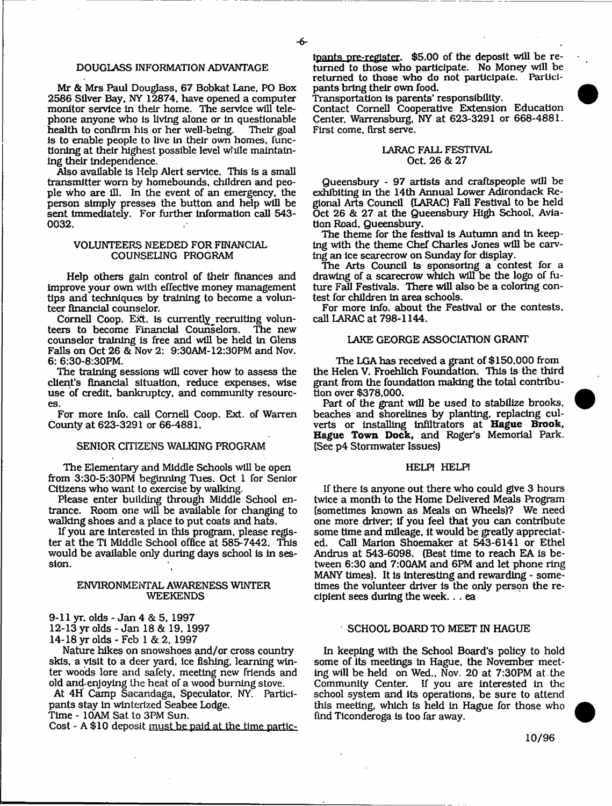# DOUGLASS INFORMATION ADVANTAGE

Mr & Mrs Paul Douglass, 67 Bobkat Lane, PO Box 2586 Silver Bay, NY 12874, have opened a computer monitor service in their home. The service will telephone anyone who is living alone or in questionable health to confirm his or her well-being. is to enable people to live in their own homes, functioning at their highest possible level wliile maintaining their independence.

Also available is Help Alert service. This is a small transmitter worn by homebounds, children and people who are ill. In the event of an emergency, the person simply presses the button and help will be sent Immediately. For further information call 543- 0032.

# VOLUNTEERS NEEDED FOR FINANCIAL COUNSELING PROGRAM

Help others gain control of their finances and improve your own with effective money management tips and techniques by training to become a volunteer financial counselor.

Cornell Coop. Ext. is currently recruiting volunteers to become Financial Counselors. The new counselor training is free and will be held in Glens Falls on Oct 26 & Nov 2: 9:30AM-12:30PM and Nov. 6: 6:30-8:30PM.

The training sessions will cover how to assess the client's financial situation, reduce expenses, wise use of credit, bankruptcy, and community resources.

For more info, call Cornell Coop. Ext. of Warren County at 623-3291 or 66-4881.

## SENIOR CITIZENS WALKING PROGRAM

The Elementary and Middle Schools will be open from 3:30-5:30PM beginning Tues. Oct 1 for Senior Citizens who want to exercise by walking.

Please enter building through Middle School entrance. Room one will be available for changing to walking shoes and a place to put coats and hats.

If you are interested in this program, please register at the TI Middle School office at 585-7442. This would be available only during days school is in session.

# ENVIRONMENTAL AWARENESS WINTER WEEKENDS

9-11 yr. olds - Jan 4 & 5, 1997

12-13 yr olds - Jan 18 & 19, 1997

14-18 yr olds - Feb 1 & 2, 1997

Nature hikes on snowshoes and/or cross country skis, a visit to a deer yard, ice fishing, learning winter woods lore and safety, meeting new friends and old and-enjoying the heat of a wood burning stove.

At 4H Camp Sacandaga, Speculator. NY. Participants stay in winterized Seabee Lodge.

Time - 10AM Sat to 3PM Sun.

Cost - A  $$10$  deposit must be paid at the time partic-

lpants pre-register. \$5.00 of the deposit will be returned to those who participate. No Money will be returned to those who do not participate. Participants bring their own food.

Transportation is parents' responsibility.

Contact Cornell Cooperative Extension Education Center. Warrensburg, NY at 623-3291 or 668-4881. First come, first serve.

# LARAC FALL FESTIVAL Oct. 26 & 27

Queensbury - 97 artists and craftspeople will be exhibiting in the 14th Annual Lower Adirondack Regional Arts Council (LARAC) Fall Festival to be held Oct 26 & 27 at the Queensbury High School, Aviation Road. Queensbuiy.

The theme for the festival is Autumn and in keeping with the theme Chef Charles Jones will be carving an ice scarecrow on Sunday for display.

The Arts Council is sponsoring a contest for a drawing of a scarecrow which will be the logo of future Fall Festivals. There will also be a coloring contest for children in area schools.

For more info, about the Festival or the contests, call LARAC at 798-1144.

# LAKE GEORGE ASSOCIATION GRANT

The LGA has received a grant of \$150,000 from the Helen V. Froehlich Foundation. This is the third grant from the foundation making the total contribution over \$378,000.

Part of the grant will be used to stabilize brooks, beaches and shorelines by planting, replacing culverts or installing infiltrators at **Hague Brook, Hague Town Dock,** and Roger's Memorial Park. (See p4 Stormwater Issues)

# HELP! HELP!

If there is anyone out there who could give 3 hours twice a month to the Home Delivered Meals Program (sometimes known as Meals on Wheels)? We need one more driver; if you feel that you can contribute some time and mileage, it would be greatly appreciated. Call Marion Shoemaker at 543-6141 or Ethel Andrus at 543-6098. (Best time to reach EA is between 6:30 and 7:00AM and 6PM and let phone ring MANY times). It is interesting and rewarding - sometimes the volunteer driver is the only person the recipient sees during the week... ea

# SCHOOL BOARD TO MEET IN HAGUE

In keeping with the School Board's policy to hold some of its meetings in Hague, the November meeting will be held on Wed., Nov. 20 at 7:30PM at the Community Center. If you are interested in the school system and its operations, be sure to attend this meeting, which is held in Hague for those who find Ticonderoga is too far away.

10/96

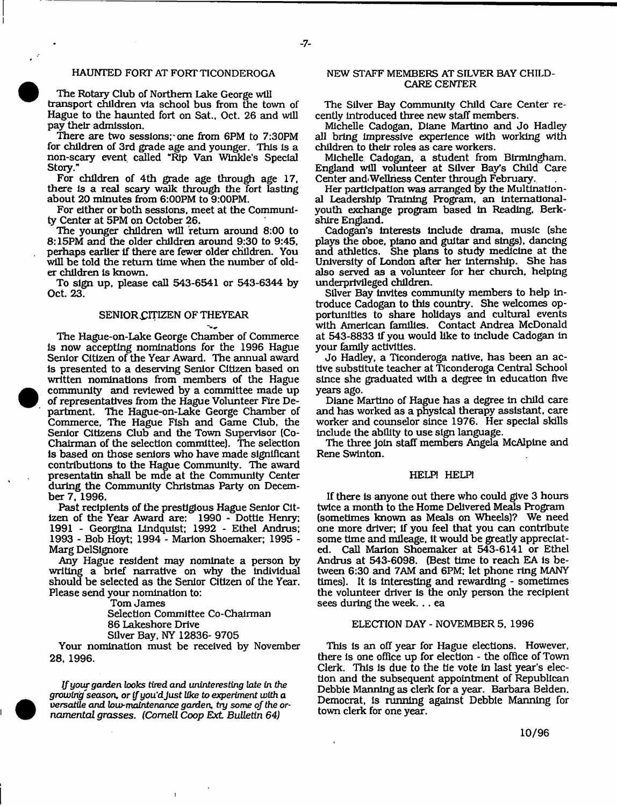# HAUNTED FORT AT FORT TICONDEROGA

The Rotary Club of Northern Lake George will transport children via school bus from the town of Hague to the haunted fort on Sat., Oct. 26 and will pay their admission.

There are two sessions; one from 6PM to 7:30PM for children of 3rd grade age and younger. This Is a non-scary event called "Rip Van Winkle's Special Story."

For children of 4th grade age through age 17, there Is a real scary walk through the fort lasting about 20 minutes from 6:00PM to 9:00PM.

For either or both sessions, meet at the Community Center at 5PM on October 26.

The younger children will return around 8:00 to 8:15PM and the older children around 9:30 to 9:45, perhaps earlier if there are fewer older children. You will be told the return time when the number of older children Is known.

To sign up, please call 543-6541 or 543-6344 by Oct. 23.

## SENIOR CITIZEN OF THEYEAR

The Hague-on-Lake George Chamber of Commerce is now accepting nominations for the 1996 Hague Senior Citizen of the Year Award. The annual award is presented to a deserving Senior Citizen based on written nominations from members of the Hague community and reviewed by a committee made up of representatives from the Hague Volunteer Fire Department. The Hague-on-Lake George Chamber of Commerce, The Hague Fish and Game Club, the Senior Citizens Club and the Town Supervisor (Co-Chairman of the selection committee). The selection is based on those seniors who have made significant contributions to the Hague Community. The award presentatin shall be mde at the Community Center during the Community Christmas Party on December 7, 1996.

Past recipients of the prestigious Hague Senior Citizen of the Year Award are: 1990 - Dottle Henry: 1991 - Georgina Lindquist: 1992 - Ethel Andrus; 1993 - Bob Hoyt: 1994 - Marion Shoemaker; 1995 - Marg DelSlgnore

Any Hague resident may nominate a person by writing a brief narrative on why the Individual should be selected as the Senior Citizen of the Year. Please send your nomination to:

Tom James

Selection Committee Co-Chairman 86 Lakeshore Drive Silver Bay, NY 12836- 9705

Your nomination must be received by November 28, 1996.

*If your garden looks* tired and *uninteresting late in the growing''season, or if* you'd *Just like to experiment with a versatile and low-mcdntenance garden, try some of the ornam ental grasses*. (Cornell *Coop E xt Bulletin 64)*

# NEW STAFF MEMBERS AT SILVER BAY CHILD-CARE CENTER

The Silver Bay Community Child Care Center recently introduced three new staff members.

Michelle Cadogan, Diane Martino and Jo Hadley all bring impressive experience with working with children to their roles as care workers.

Michelle Cadogan, a student from Birmingham, England will volunteer at Silver Bay's Child Care Center and<Wellness Center through February.

Her participation was arranged by the Multinational Leadership Training Program, an internationalyouth exchange program based in Reading, Berkshire England.

Cadogan's interests include drama, music (she plays the oboe, piano and guitar and sings), dancing and athletics. She plans to study medicine at the University of London after her internship. She has also served as a volunteer for her church, helping underprivileged children.

Silver Bay Invites community members to help introduce Cadogan to this country. She welcomes opportunities to share holidays and cultural events with American families. Contact Andrea McDonald at 543-8833 If you would like to Include Cadogan in your family activities.

Jo Hadley, a Ticonderoga native, has been an active substitute teacher at Ticonderoga Central School since she graduated with a degree in education five years ago.

Diane Martino of Hague has a degree In child care and has worked as a physical therapy assistant, care worker and counselor since 1976. Her special skills include the ability to use sign language.

The three join staff members Angela McAIpine and Rene Swinton.

#### HELP! HELP!

If there is anyone out there who could give 3 hours twice a month to the Home Delivered Meals Program (sometimes known as Meals on Wheels)? We need one more driver; if you feel that you can contribute some time and mileage, it would be greatly appreciated. Call Marion Shoemaker at 543-6141 or Ethel Andrus at 543-6098. (Best time to reach EA is between 6:30 and 7AM and 6PM; let phone ring MANY times). It is interesting and rewarding - sometimes the volunteer driver is the only person the recipient sees during the week. .. ea

## ELECTION DAY - NOVEMBER 5, 1996

This is an off year for Hague elections. However, there is one office up for election - the office of Town Clerk. This is due to the tie vote in last year's election and the subsequent appointment of Republican Debbie Manning as clerk for a year. Barbara Belden. Democrat, is running against Debbie Manning for town clerk for one year.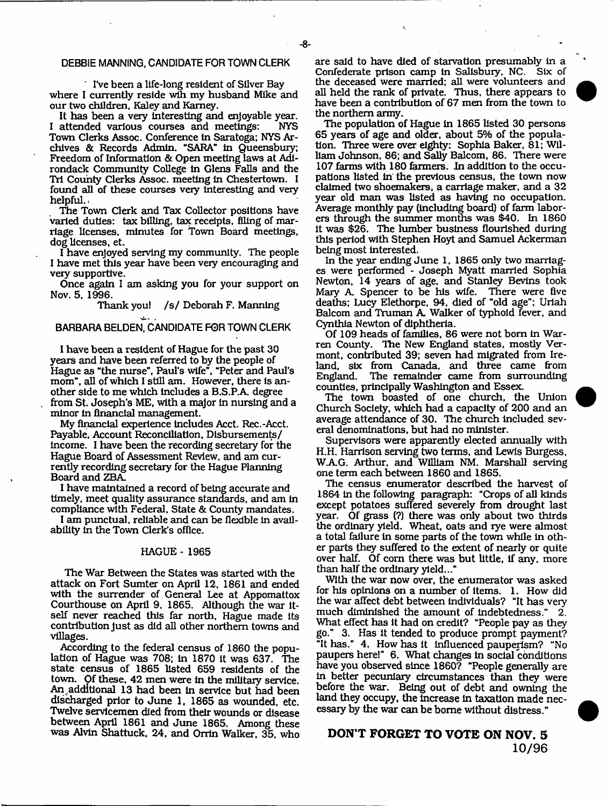# DEBBIE MANNING, CANDIDATE FOR TOWN CLERK

' IVe been a life-long resident of Silver Bay where I currently reside wih my husband Mike and our two children, Kaley and Kamey.

It has been a very interesting and enjoyable year.<br>attended various courses and meetings: NYS I attended various courses and meetings: Town Clerks Assoc. Conference In Saratoga; NYS Archives & Records Admin. "SARA" in Queensbuiy; Freedom of Information & Open meeting laws at Adirondack Community College in Glens Falls and the Tri County Clerks Assoc. meeting in Chestertown. I found all of these courses very interesting and very helpful..

The Town Clerk and Tax Collector positions have varied duties: tax billing, tax receipts, filing of marriage licenses, minutes for Town Board meetings, dog licenses, et.

I have enjoyed serving my community. The people I have met this year have been very encouraging and very supportive.

Once again I am asking you for your support on Nov. 5. 1996.

Thank you! /s/ Deborah F. Manning

# BARBARA BELDEN, CANDIDATE FOR TOWN CLERK

I have been a resident of Hague for the past 30 years and have been referred to by the people of Hague as "the nurse", Paul's wife", "Peter and Paul's mom", all of which I still am. However, there is another side to me which Includes a B.S.P.A. degree from St. Joseph's ME, with a major in nursing and a minor in financial management.

My financial experience includes Acct. Rec.-Acct. Payable, Account Reconciliation, Disbursements/ income. I have been the recording secretary for the Hague Board of Assessment Review, and am currently recording secretary for the Hague Planning Board and ZBA.

I have maintained a record of being accurate and timely, meet quality assurance standards, and am in compliance with Federal, State & County mandates.

I am punctual, reliable and can be flexible in availability in the Town Clerk's office.

#### HAGUE - 1965

The War Between the States was started with the attack on Fort Sumter on April 12, 1861 and ended with the surrender of General Lee at Appomattox Courthouse on April 9, 1865. Although the war itself never reached this far north, Hague made its contribution Just as did all other northern towns and villages.

According to the federal census of 1860 the population of Hague was 708; in 1870 it was 637, The state census of 1865 listed 659 residents of the town. Of these, 42 men were in the military service. An . additional 13 had been in service but had been discharged prior to June 1, 1865 as wounded, etc. Twelve servicemen died from their wounds or disease between April 1861 and June 1865. Among these was Alvin Shattuck, 24, and Orrin Walker, 35, who are said to have died of starvation presumably in a Confederate prison camp in Salisbury, NC. Six of the deceased were married; all were volunteers and all held the rank of private. Thus, there appears to have been a contribution of 67 men from the town to the northern army.

١,

The population of Hague in 1865 listed 30 persons 65 years of age and older, about 5% of the population. Three were over eighty: Sophia Baker, 81; William Johnson, 86; and Sally Balcom, 86. There were 107 farms with 180 farmers. In addition to the occupations listed in the previous census, the town now claimed two shoemakers, a carriage maker, and a 32 year old man was listed as having no occupation. Average monthly pay (including board) of farm laborers through the summer months was \$40. In 1860 it was \$26. The lum ber business flourished during this period with Stephen Hoyt and Samuel Ackerman being most interested.

In the year ending June 1, 1865 only two marriages were performed - Joseph Myatt married Sophia Newton, 14 years of age, and Stanley Bevins took Mary A Spencer to be his wife. There were five deaths; Lucy Elethorpe, 94, died of "old age"; Uriah Balcom and Truman A. Walker of typhoid fever, and Cynthia Newton of diphtheria.

Of 109 heads of families, 86 were not born in Warren County. The New England states, mostly Vermont, contributed 39; seven had migrated from Ireland, six from Canada, and three came from<br>England. The remainder came from surrounding The remainder came from surrounding counties, principally Washington and Essex.

The town boasted of one church, the Union Church Society, which had a capacity of 200 and an average attendance of 30. The church included several denominations, but had no minister.

Supervisors were apparently elected annually with H.H. Harrison serving two terms, and Lewis Burgess. W.AG. Arthur, and William NM. Marshall serving one term each between 1860 and 1865.

The census enumerator described the harvest of 1864 in the following paragraph: "Crops of all kinds except potatoes suffered severely from drought last year. Of grass (?) there was only about two thirds the ordinary yield. Wheat, oats and rye were almost a total failure in some parts of the town while In other parts they suffered to the extent of nearly or quite over half. Of corn there was but little, if any, more than half the ordinary yield..."

With the war now over, the enumerator was asked for his opinions on a number of items. 1. How did the war affect debt between individuals? "It has very much diminished the amount of indebtedness." 2. What effect has it had on credit? "People pay as they go." 3. Has it tended to produce prompt payment? "It has." 4. How has it influenced pauperism? "No paupers here!" 6. What changes in social conditions have you observed since 1860? "People generally are in better pecuniary circum stances than they were before the war. Being out of debt and owning the land they occupy, the increase in taxation made necessary by the war can be borne without distress."

# DON'T FORGET TO VOTE ON NOV. 5 **10/96**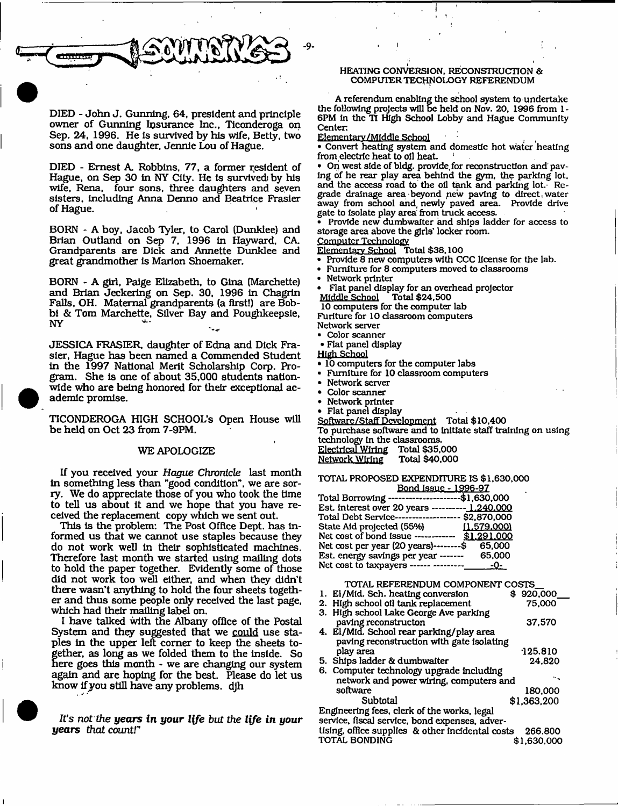

DIED - John J. Gunning, 64, president and principle owner of Gunning Insurance Inc., Ticonderoga on Sep. 24, 1996. He is survived by his wife, Betty, two sons and one daughter, Jennie Lou of Hague.

DIED - Ernest A. Robbins, 77, a former resident of Hague, on Sep 30 in NY City. He is survived by his wife, Rena, four sons, three daughters and seven sisters, including Anna Denno and Beatrice Frasier of Hague.

BORN - A boy, Jacob Tyler, to Carol (Dunklee) and Brian Outland on Sep 7, 1996 In Hayward, CA Grandparents are Dick and Annette Dunklee and great grandm other is Marlon Shoemaker.

BORN - A girl, Paige Elizabeth, to Gina (Marchette) and Brian Jeckering on Sep. 30, 1996 In Chagrin Falls, OH. M aternal grandparents (a first!) are Bobbi & Tom Marchette, Silver Bay and Poughkeepsie, NY

JESSICA FRASIER, daughter of Edna and Dick Frasier, Hague has been named a Commended Student in the 1997 National Merit Scholarship Corp. Program. She Is one of about 35,000 students nationwide who are being honored for their exceptional academic promise.

TICONDEROGA HIGH SCHOOL'S Open House will be held on Oct 23 from 7-9PM.

#### WE APOLOGIZE

If you received your *Hague Chronicle* last month in something less than "good condition", we are sorry. We do appreciate those of you who took the time to tell us about it and we hope that you have received the replacement copy which we sent out.

This is the problem: The Post Office Dept, has informed us that we cannot use staples because they do not work well in their sophisticated machines. Therefore last month we started using mailing dots to hold the paper together. Evidently some of those did not work too well either, and when they didn't there wasn't anything to hold the four sheets together and thus some people only received the last page, which had their mailing label on.

I have talked with the Albany office of the Postal System and they suggested that we could use staples in the upper left corner to keep the sheets together, as long as we folded them to the inside. So here goes this month - we are changing our system again and are hoping for the best. Please do let us know if you still have any problems, djh

*It's not the years* **in** *your l{fe but the life in your years thatcountr*

# HEATING CONVERSION, RECONSTRUCTION & COMPUTER TECHNOLOGY REFERENDUM

A referendum enabling the school system to undertake the following projects will be held on Nov. 20, 1996 from 1 - 6PM in the T1 High School Lobby and Hague Community Center.

Elementary /Middle School

• Convert heating system and domestic hot water heating from electric heat to oil heat.

• On west side of bldg. provide, for reconstruction and paving of he rear play area behind the gym, the parking lot. and the access road to the oil tank and parking lot.' Regrade drainage area beyond pew paving to direct,water away from school and, newly paved area. Provide drive gate to isolate play area from truck access.

• Provide new dumbwaiter and ships ladder for access to storage area above the girls' locker room.

Computer Technology

Elementary School Total \$38.100 • Provide 8 new computers with CCC license for the lab.

- Furniture for 8 computers moved to classrooms
- Network printer
- Flat panel display for an overhead projector Middle School Total \$24,500

10 computers for the computer lab Furiture for 10 classroom computers

Network server

• Color scanner • Flat panel display

High School

- 10 computers for the computer labs
- Furniture for 10 classroom computers
- Network server
- Color scanner
- Network printer
- Flat panel display

Software/Staff Development Total \$ 10,400 To purchase software and to Initiate staff training on using technology in the classrooms.<br><u>Electrical Wiring</u> Total \$35,000 Electrical Wiring Total \$35,000<br>Network Wiring Total \$40,000 Network Wiring

TOTAL PROPOSED EXPENDITURE IS \$1,630,000 Bond Issue - 1996-97

| \$1,630,000    |
|----------------|
| $-1.240,000$   |
| \$2,870,000    |
| (1.579.000)    |
| \$1,291,000    |
| 65,000<br>.--S |
| 65,000         |
| -0-            |
|                |

| TOTAL REFERENDUM COMPONENT COSTS            |             |
|---------------------------------------------|-------------|
| 1. El/Mid. Sch. heating conversion          | \$920,000   |
| 2. High school oil tank replacement         | 75,000      |
| 3. High school Lake George Ave parking      |             |
| paving reconstructon                        | 37.570      |
| 4. El/Mid. School rear parking/play area    |             |
| paving reconstruction with gate isolating   |             |
| play area                                   | 125.810     |
| 5. Ships ladder & dumbwaiter                | 24.820      |
| 6. Computer technology upgrade including    |             |
| network and power wiring, computers and     |             |
| software                                    | 180,000     |
| Subtotal                                    | \$1,363,200 |
| Engineering fees, clerk of the works, legal |             |

service, fiscal service, bond expenses, adver-

|               | tising, office supplies & other incidental costs 266,800 |             |
|---------------|----------------------------------------------------------|-------------|
| TOTAL BONDING |                                                          | \$1,630,000 |